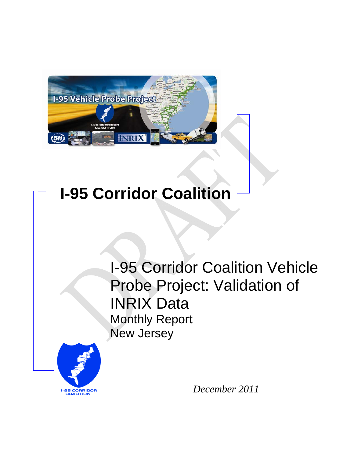

# **I-95 Corridor Coalition**

I-95 Corridor Coalition Vehicle Probe Project: Validation of INRIX Data Monthly Report New Jersey



*December 2011*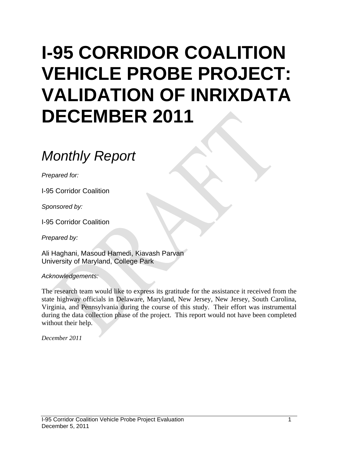# **I-95 CORRIDOR COALITION VEHICLE PROBE PROJECT: VALIDATION OF INRIXDATA DECEMBER 2011**

# *Monthly Report*

*Prepared for:* 

I-95 Corridor Coalition

*Sponsored by:* 

I-95 Corridor Coalition

*Prepared by:* 

Ali Haghani, Masoud Hamedi, Kiavash Parvan University of Maryland, College Park

*Acknowledgements:* 

The research team would like to express its gratitude for the assistance it received from the state highway officials in Delaware, Maryland, New Jersey, New Jersey, South Carolina, Virginia, and Pennsylvania during the course of this study. Their effort was instrumental during the data collection phase of the project. This report would not have been completed without their help.

*December 2011*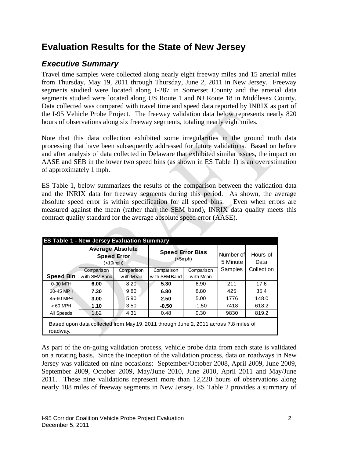## **Evaluation Results for the State of New Jersey**

## *Executive Summary*

Travel time samples were collected along nearly eight freeway miles and 15 arterial miles from Thursday, May 19, 2011 through Thursday, June 2, 2011 in New Jersey. Freeway segments studied were located along I-287 in Somerset County and the arterial data segments studied were located along US Route 1 and NJ Route 18 in Middlesex County. Data collected was compared with travel time and speed data reported by INRIX as part of the I-95 Vehicle Probe Project. The freeway validation data below represents nearly 820 hours of observations along six freeway segments, totaling nearly eight miles.

Note that this data collection exhibited some irregularities in the ground truth data processing that have been subsequently addressed for future validations. Based on before and after analysis of data collected in Delaware that exhibited similar issues, the impact on AASE and SEB in the lower two speed bins (as shown in ES Table 1) is an overestimation of approximately 1 mph.

ES Table 1, below summarizes the results of the comparison between the validation data and the INRIX data for freeway segments during this period. As shown, the average absolute speed error is within specification for all speed bins. Even when errors are measured against the mean (rather than the SEM band), INRIX data quality meets this contract quality standard for the average absolute speed error (AASE).

|                                                                                                  | <b>Average Absolute</b><br><b>Speed Error</b><br>(<10 mph) |                          | <b>Speed Error Bias</b>     | $(<5$ mph $)$            | Number of<br>5 Minute | Hours of<br>Data |  |  |  |
|--------------------------------------------------------------------------------------------------|------------------------------------------------------------|--------------------------|-----------------------------|--------------------------|-----------------------|------------------|--|--|--|
| <b>Speed Bin</b>                                                                                 | Comparison<br>w ith SEM Band                               | Comparison<br>w ith Mean | Comparison<br>with SEM Band | Comparison<br>w ith Mean | Samples               | Collection       |  |  |  |
| 0-30 MPH                                                                                         | 6.00                                                       | 8.20                     | 5.30                        | 6.90                     | 211                   | 17.6             |  |  |  |
| 30-45 MPH                                                                                        | 7.30                                                       | 9.80                     | 6.80                        | 8.80                     | 425                   | 35.4             |  |  |  |
| 45-60 MPH                                                                                        | 3.00                                                       | 5.90                     | 2.50                        | 5.00                     | 1776                  | 148.0            |  |  |  |
| $>60$ MPH                                                                                        | 1.10                                                       | 3.50                     | $-0.50$                     | $-1.50$                  | 7418                  | 618.2            |  |  |  |
| All Speeds                                                                                       | 1.82                                                       | 4.31                     | 0.48                        | 0.30                     | 9830                  | 819.2            |  |  |  |
| Based upon data collected from May 19, 2011 through June 2, 2011 across 7.8 miles of<br>roadway. |                                                            |                          |                             |                          |                       |                  |  |  |  |

As part of the on-going validation process, vehicle probe data from each state is validated on a rotating basis. Since the inception of the validation process, data on roadways in New Jersey was validated on nine occasions: September/October 2008, April 2009, June 2009, September 2009, October 2009, May/June 2010, June 2010, April 2011 and May/June 2011. These nine validations represent more than 12,220 hours of observations along nearly 188 miles of freeway segments in New Jersey. ES Table 2 provides a summary of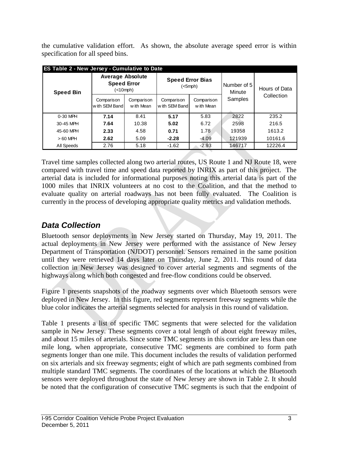the cumulative validation effort. As shown, the absolute average speed error is within specification for all speed bins.

|                  | ES Table 2 - New Jersey - Cumulative to Date                    |                          |                             |                                    |                       |                             |  |  |  |  |
|------------------|-----------------------------------------------------------------|--------------------------|-----------------------------|------------------------------------|-----------------------|-----------------------------|--|--|--|--|
| <b>Speed Bin</b> | <b>Average Absolute</b><br><b>Speed Error</b><br>$(<10$ mph $)$ |                          |                             | <b>Speed Error Bias</b><br>(<5mph) | Number of 5<br>Minute | Hours of Data<br>Collection |  |  |  |  |
|                  | Comparison<br>with SEM Band                                     | Comparison<br>w ith Mean | Comparison<br>with SEM Band | Comparison<br>with Mean            | Samples               |                             |  |  |  |  |
| $0-30$ MPH       | 7.14                                                            | 8.41                     | 5.17                        | 5.83                               | 2822                  | 235.2                       |  |  |  |  |
| 30-45 MPH        | 7.64                                                            | 10.38                    | 5.02                        | 6.72                               | 2598                  | 216.5                       |  |  |  |  |
| 45-60 MPH        | 4.58<br>2.33                                                    |                          | 0.71                        | 1.78                               | 19358                 | 1613.2                      |  |  |  |  |
| $>60$ MPH        | 5.09<br>2.62                                                    |                          | $-2.28$                     | $-4.09$                            | 121939                | 10161.6                     |  |  |  |  |
| All Speeds       | 2.76                                                            | 5.18                     | $-1.62$                     | $-2.93$                            | 146717                | 12226.4                     |  |  |  |  |

Travel time samples collected along two arterial routes, US Route 1 and NJ Route 18, were compared with travel time and speed data reported by INRIX as part of this project. The arterial data is included for informational purposes noting this arterial data is part of the 1000 miles that INRIX volunteers at no cost to the Coalition, and that the method to evaluate quality on arterial roadways has not been fully evaluated. The Coalition is currently in the process of developing appropriate quality metrics and validation methods.

### *Data Collection*

Bluetooth sensor deployments in New Jersey started on Thursday, May 19, 2011. The actual deployments in New Jersey were performed with the assistance of New Jersey Department of Transportation (NJDOT) personnel. Sensors remained in the same position until they were retrieved 14 days later on Thursday, June 2, 2011. This round of data collection in New Jersey was designed to cover arterial segments and segments of the highways along which both congested and free-flow conditions could be observed.

Figure 1 presents snapshots of the roadway segments over which Bluetooth sensors were deployed in New Jersey. In this figure, red segments represent freeway segments while the blue color indicates the arterial segments selected for analysis in this round of validation.

Table 1 presents a list of specific TMC segments that were selected for the validation sample in New Jersey. These segments cover a total length of about eight freeway miles, and about 15 miles of arterials. Since some TMC segments in this corridor are less than one mile long, when appropriate, consecutive TMC segments are combined to form path segments longer than one mile. This document includes the results of validation performed on six arterials and six freeway segments; eight of which are path segments combined from multiple standard TMC segments. The coordinates of the locations at which the Bluetooth sensors were deployed throughout the state of New Jersey are shown in Table 2. It should be noted that the configuration of consecutive TMC segments is such that the endpoint of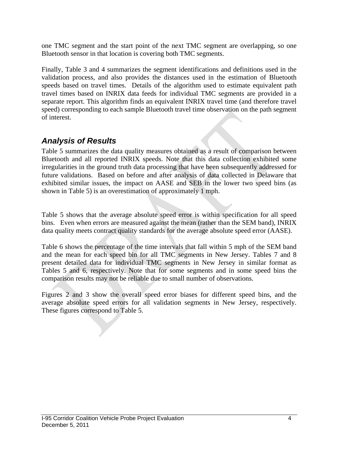one TMC segment and the start point of the next TMC segment are overlapping, so one Bluetooth sensor in that location is covering both TMC segments.

Finally, Table 3 and 4 summarizes the segment identifications and definitions used in the validation process, and also provides the distances used in the estimation of Bluetooth speeds based on travel times. Details of the algorithm used to estimate equivalent path travel times based on INRIX data feeds for individual TMC segments are provided in a separate report. This algorithm finds an equivalent INRIX travel time (and therefore travel speed) corresponding to each sample Bluetooth travel time observation on the path segment of interest.

#### *Analysis of Results*

Table 5 summarizes the data quality measures obtained as a result of comparison between Bluetooth and all reported INRIX speeds. Note that this data collection exhibited some irregularities in the ground truth data processing that have been subsequently addressed for future validations. Based on before and after analysis of data collected in Delaware that exhibited similar issues, the impact on AASE and SEB in the lower two speed bins (as shown in Table 5) is an overestimation of approximately 1 mph.

Table 5 shows that the average absolute speed error is within specification for all speed bins. Even when errors are measured against the mean (rather than the SEM band), INRIX data quality meets contract quality standards for the average absolute speed error (AASE).

Table 6 shows the percentage of the time intervals that fall within 5 mph of the SEM band and the mean for each speed bin for all TMC segments in New Jersey. Tables 7 and 8 present detailed data for individual TMC segments in New Jersey in similar format as Tables 5 and 6, respectively. Note that for some segments and in some speed bins the comparison results may not be reliable due to small number of observations.

Figures 2 and 3 show the overall speed error biases for different speed bins, and the average absolute speed errors for all validation segments in New Jersey, respectively. These figures correspond to Table 5.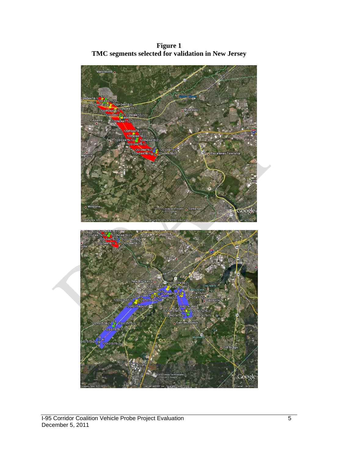**Figure 1 TMC segments selected for validation in New Jersey** 

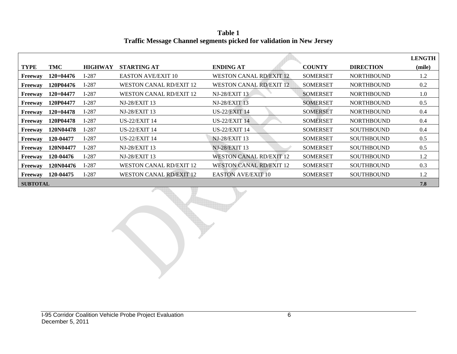**Table 1 Traffic Message Channel segments picked for validation in New Jersey** 

|                 |             |                |                                |                                |                 |                   | <b>LENGTH</b> |
|-----------------|-------------|----------------|--------------------------------|--------------------------------|-----------------|-------------------|---------------|
| TYPE            | TMC         | <b>HIGHWAY</b> | <b>STARTING AT</b>             | <b>ENDING AT</b>               | <b>COUNTY</b>   | <b>DIRECTION</b>  | (mile)        |
| <b>Freeway</b>  | 120+04476   | $I-287$        | <b>EASTON AVE/EXIT 10</b>      | <b>WESTON CANAL RD/EXIT 12</b> | <b>SOMERSET</b> | <b>NORTHBOUND</b> | 1.2           |
| Freeway         | 120P04476   | $I-287$        | <b>WESTON CANAL RD/EXIT 12</b> | <b>WESTON CANAL RD/EXIT 12</b> | <b>SOMERSET</b> | <b>NORTHBOUND</b> | 0.2           |
| Freeway         | 120+04477   | $I-287$        | <b>WESTON CANAL RD/EXIT 12</b> | NJ-28/EXIT 13                  | <b>SOMERSET</b> | <b>NORTHBOUND</b> | 1.0           |
| Freeway         | 120P04477   | $I-287$        | NJ-28/EXIT 13                  | <b>NJ-28/EXIT 13</b>           | <b>SOMERSET</b> | <b>NORTHBOUND</b> | 0.5           |
| Freeway         | $120+04478$ | $I-287$        | <b>NJ-28/EXIT 13</b>           | <b>US-22/EXIT 14</b>           | <b>SOMERSET</b> | <b>NORTHBOUND</b> | 0.4           |
| Freeway         | 120P04478   | $I-287$        | <b>US-22/EXIT 14</b>           | <b>US-22/EXIT 14</b>           | <b>SOMERSET</b> | <b>NORTHBOUND</b> | 0.4           |
| Freeway         | 120N04478   | $I-287$        | <b>US-22/EXIT 14</b>           | <b>US-22/EXIT 14</b>           | <b>SOMERSET</b> | <b>SOUTHBOUND</b> | 0.4           |
| Freeway         | 120-04477   | $I-287$        | <b>US-22/EXIT 14</b>           | <b>NJ-28/EXIT 13</b>           | <b>SOMERSET</b> | <b>SOUTHBOUND</b> | 0.5           |
| Freeway         | 120N04477   | $I-287$        | <b>NJ-28/EXIT 13</b>           | <b>NJ-28/EXIT 13</b>           | <b>SOMERSET</b> | <b>SOUTHBOUND</b> | 0.5           |
| Freeway         | 120-04476   | $I-287$        | <b>NJ-28/EXIT 13</b>           | <b>WESTON CANAL RD/EXIT 12</b> | <b>SOMERSET</b> | <b>SOUTHBOUND</b> | 1.2           |
| Freeway         | 120N04476   | $I-287$        | <b>WESTON CANAL RD/EXIT 12</b> | <b>WESTON CANAL RD/EXIT 12</b> | <b>SOMERSET</b> | <b>SOUTHBOUND</b> | 0.3           |
| Freeway         | 120-04475   | $I-287$        | <b>WESTON CANAL RD/EXIT 12</b> | <b>EASTON AVE/EXIT 10</b>      | <b>SOMERSET</b> | <b>SOUTHBOUND</b> | 1.2           |
| <b>SUBTOTAL</b> |             |                |                                |                                |                 |                   | 7.8           |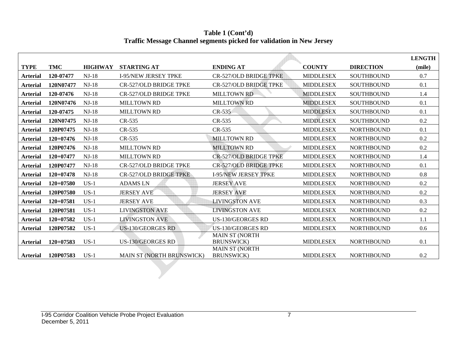|                 |             |                |                               |                                             |                  |                   | <b>LENGTH</b> |
|-----------------|-------------|----------------|-------------------------------|---------------------------------------------|------------------|-------------------|---------------|
| <b>TYPE</b>     | <b>TMC</b>  | <b>HIGHWAY</b> | <b>STARTING AT</b>            | <b>ENDING AT</b>                            | <b>COUNTY</b>    | <b>DIRECTION</b>  | (mile)        |
| <b>Arterial</b> | 120-07477   | $NJ-18$        | <b>I-95/NEW JERSEY TPKE</b>   | <b>CR-527/OLD BRIDGE TPKE</b>               | <b>MIDDLESEX</b> | <b>SOUTHBOUND</b> | 0.7           |
| <b>Arterial</b> | 120N07477   | $NJ-18$        | <b>CR-527/OLD BRIDGE TPKE</b> | <b>CR-527/OLD BRIDGE TPKE</b>               | <b>MIDDLESEX</b> | <b>SOUTHBOUND</b> | 0.1           |
| <b>Arterial</b> | 120-07476   | $NJ-18$        | <b>CR-527/OLD BRIDGE TPKE</b> | <b>MILLTOWN RD</b>                          | <b>MIDDLESEX</b> | <b>SOUTHBOUND</b> | 1.4           |
| <b>Arterial</b> | 120N07476   | $NJ-18$        | <b>MILLTOWN RD</b>            | <b>MILLTOWN RD</b>                          | <b>MIDDLESEX</b> | <b>SOUTHBOUND</b> | 0.1           |
| Arterial        | 120-07475   | $NJ-18$        | <b>MILLTOWN RD</b>            | $CR-535$                                    | <b>MIDDLESEX</b> | <b>SOUTHBOUND</b> | 0.1           |
| <b>Arterial</b> | 120N07475   | $NJ-18$        | CR-535                        | CR-535                                      | <b>MIDDLESEX</b> | <b>SOUTHBOUND</b> | 0.2           |
| <b>Arterial</b> | 120P07475   | $NJ-18$        | CR-535                        | CR-535                                      | <b>MIDDLESEX</b> | <b>NORTHBOUND</b> | 0.1           |
| <b>Arterial</b> | $120+07476$ | $NJ-18$        | CR-535                        | <b>MILLTOWN RD</b>                          | <b>MIDDLESEX</b> | <b>NORTHBOUND</b> | 0.2           |
| <b>Arterial</b> | 120P07476   | $NJ-18$        | <b>MILLTOWN RD</b>            | <b>MILLTOWN RD</b>                          | <b>MIDDLESEX</b> | <b>NORTHBOUND</b> | 0.2           |
| <b>Arterial</b> | $120+07477$ | $NJ-18$        | <b>MILLTOWN RD</b>            | <b>CR-527/OLD BRIDGE TPKE</b>               | <b>MIDDLESEX</b> | <b>NORTHBOUND</b> | 1.4           |
| <b>Arterial</b> | 120P07477   | $NJ-18$        | <b>CR-527/OLD BRIDGE TPKE</b> | <b>CR-527/OLD BRIDGE TPKE</b>               | <b>MIDDLESEX</b> | <b>NORTHBOUND</b> | 0.1           |
| <b>Arterial</b> | $120+07478$ | $NJ-18$        | <b>CR-527/OLD BRIDGE TPKE</b> | <b>I-95/NEW JERSEY TPKE</b>                 | <b>MIDDLESEX</b> | <b>NORTHBOUND</b> | 0.8           |
| Arterial        | $120+07580$ | $US-1$         | <b>ADAMS LN</b>               | <b>JERSEY AVE</b>                           | <b>MIDDLESEX</b> | <b>NORTHBOUND</b> | 0.2           |
| <b>Arterial</b> | 120P07580   | $US-1$         | <b>JERSEY AVE</b>             | <b>JERSEY AVE</b>                           | <b>MIDDLESEX</b> | <b>NORTHBOUND</b> | 0.2           |
| <b>Arterial</b> | $120+07581$ | $US-1$         | <b>JERSEY AVE</b>             | <b>LIVINGSTON AVE</b>                       | <b>MIDDLESEX</b> | <b>NORTHBOUND</b> | 0.3           |
| <b>Arterial</b> | 120P07581   | $US-1$         | <b>LIVINGSTON AVE</b>         | <b>LIVINGSTON AVE</b>                       | <b>MIDDLESEX</b> | <b>NORTHBOUND</b> | 0.2           |
| <b>Arterial</b> | 120+07582   | $US-1$         | <b>LIVINGSTON AVE</b>         | US-130/GEORGES RD                           | <b>MIDDLESEX</b> | <b>NORTHBOUND</b> | 1.1           |
| <b>Arterial</b> | 120P07582   | $US-1$         | <b>US-130/GEORGES RD</b>      | US-130/GEORGES RD                           | <b>MIDDLESEX</b> | <b>NORTHBOUND</b> | 0.6           |
| <b>Arterial</b> | $120+07583$ | $US-1$         | <b>US-130/GEORGES RD</b>      | <b>MAIN ST (NORTH</b><br><b>BRUNSWICK)</b>  | <b>MIDDLESEX</b> | <b>NORTHBOUND</b> | 0.1           |
| <b>Arterial</b> | 120P07583   | $US-1$         | MAIN ST (NORTH BRUNSWICK)     | <b>MAIN ST (NORTH</b><br><b>BRUNSWICK</b> ) | <b>MIDDLESEX</b> | <b>NORTHBOUND</b> | 0.2           |

**Table 1 (Cont'd) Traffic Message Channel segments picked for validation in New Jersey**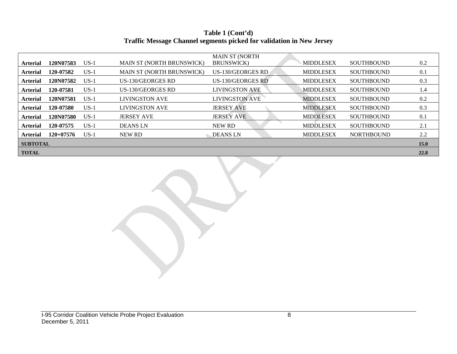#### **Table 1 (Cont'd) Traffic Message Channel segments picked for validation in New Jersey**

|                 |             |        |                                  | <b>MAIN ST (NORTH</b> |                  |                   |             |
|-----------------|-------------|--------|----------------------------------|-----------------------|------------------|-------------------|-------------|
| <b>Arterial</b> | 120N07583   | $US-1$ | <b>MAIN ST (NORTH BRUNSWICK)</b> | <b>BRUNSWICK</b> )    | <b>MIDDLESEX</b> | <b>SOUTHBOUND</b> | 0.2         |
| <b>Arterial</b> | 120-07582   | $US-1$ | <b>MAIN ST (NORTH BRUNSWICK)</b> | US-130/GEORGES RD     | <b>MIDDLESEX</b> | <b>SOUTHBOUND</b> | 0.1         |
| <b>Arterial</b> | 120N07582   | $US-1$ | US-130/GEORGES RD                | US-130/GEORGES RD     | <b>MIDDLESEX</b> | <b>SOUTHBOUND</b> | 0.3         |
| <b>Arterial</b> | 120-07581   | $US-1$ | US-130/GEORGES RD                | <b>LIVINGSTON AVE</b> | <b>MIDDLESEX</b> | <b>SOUTHBOUND</b> | 1.4         |
| <b>Arterial</b> | 120N07581   | $US-1$ | <b>LIVINGSTON AVE</b>            | <b>LIVINGSTON AVE</b> | <b>MIDDLESEX</b> | <b>SOUTHBOUND</b> | 0.2         |
| <b>Arterial</b> | 120-07580   | $US-1$ | <b>LIVINGSTON AVE</b>            | <b>JERSEY AVE</b>     | <b>MIDDLESEX</b> | <b>SOUTHBOUND</b> | 0.3         |
| <b>Arterial</b> | 120N07580   | $US-1$ | <b>JERSEY AVE</b>                | <b>JERSEY AVE</b>     | <b>MIDDLESEX</b> | <b>SOUTHBOUND</b> | 0.1         |
| <b>Arterial</b> | 120-07575   | $US-1$ | <b>DEANS LN</b>                  | NEW RD                | <b>MIDDLESEX</b> | <b>SOUTHBOUND</b> | 2.1         |
| <b>Arterial</b> | $120+07576$ | $US-1$ | NEW RD                           | DEANS LN              | <b>MIDDLESEX</b> | <b>NORTHBOUND</b> | 2.2         |
| <b>SUBTOTAL</b> |             |        |                                  |                       |                  |                   | <b>15.0</b> |
| <b>TOTAL</b>    |             |        |                                  |                       |                  |                   | 22.8        |

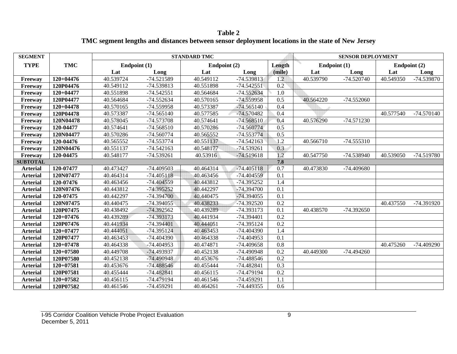**Table 2 TMC segment lengths and distances between sensor deployment locations in the state of New Jersey** 

| <b>SEGMENT</b>  |             |              |              | <b>STANDARD TMC</b> |              |                  |              | <b>SENSOR DEPLOYMENT</b> |              |              |
|-----------------|-------------|--------------|--------------|---------------------|--------------|------------------|--------------|--------------------------|--------------|--------------|
| <b>TYPE</b>     | <b>TMC</b>  | Endpoint (1) |              | Endpoint (2)        |              | Length           | Endpoint (1) |                          | Endpoint (2) |              |
|                 |             | Lat          | Long         | Lat                 | Long         | (mile)           | Lat          | Long                     | Long<br>Lat  |              |
| Freeway         | $120+04476$ | 40.539724    | $-74.521589$ | 40.549112           | -74.539813   | 1.2              | 40.539790    | $-74.520740$             | 40.549350    | $-74.539870$ |
| Freeway         | 120P04476   | 40.549112    | -74.539813   | 40.551898           | $-74.542551$ | 0.2              |              |                          |              |              |
| Freeway         | 120+04477   | 40.551898    | $-74.542551$ | 40.564684           | $-74.552634$ | 1.0              |              |                          |              |              |
| Freeway         | 120P04477   | 40.564684    | -74.552634   | 40.570165           | $-74.559958$ | 0.5              | 40.564220    | $-74.552060$             |              |              |
| Freeway         | $120+04478$ | 40.570165    | -74.559958   | 40.573387           | $-74.565140$ | 0.4              |              |                          |              |              |
| Freeway         | 120P04478   | 40.573387    | $-74.565140$ | 40.577585           | $-74.570482$ | 0.4              |              |                          | 40.577540    | $-74.570140$ |
| Freeway         | 120N04478   | 40.578045    | -74.573708   | 40.574641           | $-74.568510$ | 0.4              | 40.576290    | $-74.571230$             |              |              |
| Freeway         | 120-04477   | 40.574641    | $-74.568510$ | 40.570286           | $-74.560774$ | 0.5              |              |                          |              |              |
| Freeway         | 120N04477   | 40.570286    | $-74.560774$ | 40.565552           | $-74.553774$ | 0.5              |              |                          |              |              |
| Freeway         | 120-04476   | 40.565552    | $-74.553774$ | 40.551137           | $-74.542163$ | 1.2              | 40.566710    | $-74.555310$             |              |              |
| Freeway         | 120N04476   | 40.551137    | $-74.542163$ | 40.548177           | $-74.539261$ | 0.3              |              |                          |              |              |
| Freeway         | 120-04475   | 40.548177    | -74.539261   | 40.53916            | $-74.519618$ | 1.2              | 40.547750    | -74.538940               | 40.539050    | $-74.519780$ |
| <b>SUBTOTAL</b> |             |              |              |                     |              | 7.8              |              |                          |              |              |
| <b>Arterial</b> | 120-07477   | 40.473427    | $-74.409503$ | 40.464314           | $-74.405118$ | 0.7              | 40.473830    | -74.409680               |              |              |
| <b>Arterial</b> | 120N07477   | 40.464314    | $-74.405118$ | 40.463456           | $-74.404559$ | 0.1              |              |                          |              |              |
| <b>Arterial</b> | 120-07476   | 40.463456    | -74.404559   | 40.443812           | $-74.395252$ | 1.4              |              |                          |              |              |
| <b>Arterial</b> | 120N07476   | 40.443812    | -74.395252   | 40.442297           | $-74.394700$ | 0.1              |              |                          |              |              |
| <b>Arterial</b> | 120-07475   | 40.442297    | $-74.394700$ | 40.440475           | -74.394055   | 0.1              |              |                          |              |              |
| <b>Arterial</b> | 120N07475   | 40.440475    | $-74.394055$ | 40.438233           | -74.392520   | 0.2              |              |                          | 40.437550    | -74.391920   |
| <b>Arterial</b> | 120P07475   | 40.438492    | $-74.392562$ | 40.439289           | -74.393173   | 0.1              | 40.438570    | $-74.392650$             |              |              |
| <b>Arterial</b> | $120+07476$ | 40.439289    | $-74.393173$ | 40.441934           | -74.394401   | 0.2              |              |                          |              |              |
| <b>Arterial</b> | 120P07476   | 40.441934    | $-74.394401$ | 40.444051           | -74.395124   | $\overline{0.2}$ |              |                          |              |              |
| <b>Arterial</b> | 120+07477   | 40.444051    | -74.395124   | 40.463453           | -74.404390   | 1.4              |              |                          |              |              |
| <b>Arterial</b> | 120P07477   | 40.463453    | -74.404390   | 40.464338           | $-74.404953$ | 0.1              |              |                          |              |              |
| <b>Arterial</b> | $120+07478$ | 40.464338    | $-74.404953$ | 40.474871           | -74.409658   | 0.8              |              |                          | 40.475260    | $-74.409290$ |
| <b>Arterial</b> | $120+07580$ | 40.449708    | -74.493937   | 40.452138           | -74.490948   | 0.2              | 40.449300    | $-74.494260$             |              |              |
| <b>Arterial</b> | 120P07580   | 40.452138    | -74.490948   | 40.453676           | -74.488546   | 0.2              |              |                          |              |              |
| <b>Arterial</b> | 120+07581   | 40.453676    | $-74.488546$ | 40.455444           | $-74.482841$ | 0.3              |              |                          |              |              |
| <b>Arterial</b> | 120P07581   | 40.455444    | $-74.482841$ | 40.456115           | -74.479194   | 0.2              |              |                          |              |              |
| <b>Arterial</b> | 120+07582   | 40.456115    | $-74.479194$ | 40.461546           | -74.459291   | 1.1              |              |                          |              |              |
| <b>Arterial</b> | 120P07582   | 40.461546    | -74.459291   | 40.464261           | $-74.449355$ | 0.6              |              |                          |              |              |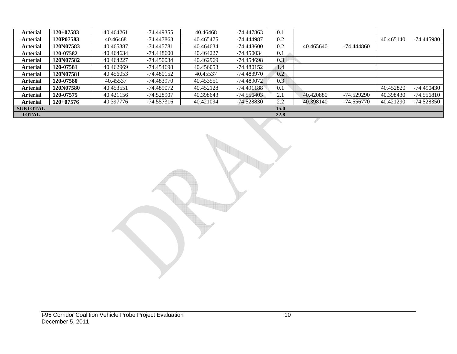| <b>Arterial</b> | $120+07583$      | 40.464261 | -74.449355   | 40.46468  | -74.447863   | 0.1         |           |              |           |              |
|-----------------|------------------|-----------|--------------|-----------|--------------|-------------|-----------|--------------|-----------|--------------|
| <b>Arterial</b> | 120P07583        | 40.46468  | -74.447863   | 40.465475 | -74.444987   | 0.2         |           |              | 40.465140 | -74.445980   |
| <b>Arterial</b> | 120N07583        | 40.465387 | -74.445781   | 40.464634 | -74.448600   | 0.2         | 40.465640 | -74.444860   |           |              |
| <b>Arterial</b> | 120-07582        | 40.464634 | $-74.448600$ | 40.464227 | -74.450034   | 0.1         |           |              |           |              |
| <b>Arterial</b> | <b>120N07582</b> | 40.464227 | $-74.450034$ | 40.462969 | -74.454698   | 0.3         |           |              |           |              |
| <b>Arterial</b> | 120-07581        | 40.462969 | -74.454698   | 40.456053 | -74.480152   | 1.4         |           |              |           |              |
| <b>Arterial</b> | 120N07581        | 40.456053 | $-74.480152$ | 40.45537  | -74.483970   | 0.2         |           |              |           |              |
| <b>Arterial</b> | 120-07580        | 40.45537  | $-74.483970$ | 40.453551 | $-74.489072$ | 0.3         |           |              |           |              |
| <b>Arterial</b> | 120N07580        | 40.453551 | -74.489072   | 40.452128 | $-74.491188$ | 0.1         |           |              | 40.452820 | $-74.490430$ |
| <b>Arterial</b> | 120-07575        | 40.421156 | -74.528907   | 40.398643 | $-74.556403$ | 2.1         | 40.420880 | -74.529290   | 40.398430 | $-74.556810$ |
| <b>Arterial</b> | $120+07576$      | 40.397776 | -74.557316   | 40.421094 | -74.528830   | 2.2         | 40.398140 | $-74.556770$ | 40.421290 | $-74.528350$ |
| <b>SUBTOTAL</b> |                  |           |              |           |              | <b>15.0</b> |           |              |           |              |
| <b>TOTAL</b>    |                  |           |              |           |              | 22.8        |           |              |           |              |

I-95 Corridor Coalition Vehicle Probe Project Evaluation 10 December 5, 2011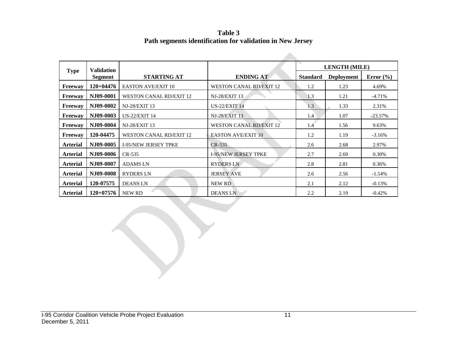**Table 3 Path segments identification for validation in New Jersey** 

|                 | <b>Validation</b>                 |                                |                                |                 | <b>LENGTH (MILE)</b> |               |
|-----------------|-----------------------------------|--------------------------------|--------------------------------|-----------------|----------------------|---------------|
| <b>Type</b>     | Segment                           | <b>STARTING AT</b>             | <b>ENDING AT</b>               | <b>Standard</b> | <b>Deployment</b>    | Error $(\% )$ |
| Freeway         | $120+04476$                       | <b>EASTON AVE/EXIT 10</b>      | <b>WESTON CANAL RD/EXIT 12</b> | 1.2             | 1.23                 | 4.69%         |
| <b>Freeway</b>  | NJ09-0001                         | <b>WESTON CANAL RD/EXIT 12</b> | <b>NJ-28/EXIT 13</b>           | 1.3             | 1.21                 | $-4.71%$      |
| Freeway         | NJ09-0002                         | <b>NJ-28/EXIT 13</b>           | <b>US-22/EXIT 14</b>           | 1.3             | 1.33                 | 2.31%         |
| Freeway         | NJ09-0003<br><b>US-22/EXIT 14</b> |                                | <b>NJ-28/EXIT 13</b>           | 1.4             | 1.07                 | $-23.57%$     |
| <b>Freeway</b>  | NJ09-0004<br><b>NJ-28/EXIT 13</b> |                                | <b>WESTON CANAL RD/EXIT 12</b> | 1.4             | 1.56                 | 9.63%         |
| <b>Freeway</b>  | 120-04475                         | <b>WESTON CANAL RD/EXIT 12</b> | <b>EASTON AVE/EXIT 10</b>      | 1.2             | 1.19                 | $-3.16%$      |
| <b>Arterial</b> | NJ09-0005                         | <b>I-95/NEW JERSEY TPKE</b>    | $CR-535$                       | 2.6             | 2.68                 | 2.97%         |
| <b>Arterial</b> | NJ09-0006                         | CR-535                         | <b>I-95/NEW JERSEY TPKE</b>    | 2.7             | 2.69                 | 0.30%         |
| <b>Arterial</b> | NJ09-0007                         | <b>ADAMSLN</b>                 | <b>RYDERS LN</b>               | 2.8             | 2.81                 | 0.36%         |
| <b>Arterial</b> | NJ09-0008                         | <b>RYDERS LN</b>               | <b>JERSEY AVE</b>              | 2.6             | 2.56                 | $-1.54%$      |
| <b>Arterial</b> | 120-07575                         | <b>DEANS LN</b>                | <b>NEW RD</b>                  | 2.1             | 2.12                 | $-0.13%$      |
| <b>Arterial</b> | 120+07576                         | NEW RD                         | <b>DEANS LN</b>                | 2.2             | 2.19                 | $-0.42%$      |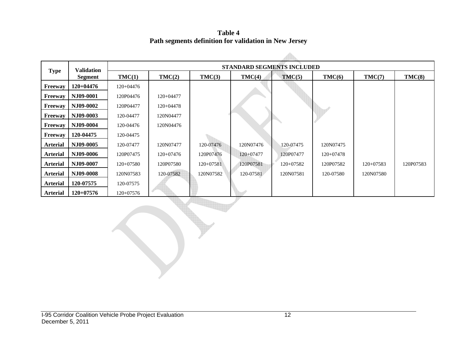**Table 4 Path segments definition for validation in New Jersey** 

|                 | <b>Validation</b> |             |             |             |             | <b>STANDARD SEGMENTS INCLUDED</b> |             |             |           |
|-----------------|-------------------|-------------|-------------|-------------|-------------|-----------------------------------|-------------|-------------|-----------|
| <b>Type</b>     | Segment           | TMC(1)      | TMC(2)      | TMC(3)      | TMC(4)      | TMC(5)                            | TMC(6)      | TMC(7)      | TMC(8)    |
| <b>Freeway</b>  | 120+04476         | 120+04476   |             |             |             |                                   |             |             |           |
| <b>Freeway</b>  | NJ09-0001         | 120P04476   | 120+04477   |             |             |                                   |             |             |           |
| <b>Freeway</b>  | NJ09-0002         | 120P04477   | $120+04478$ |             |             |                                   |             |             |           |
| <b>Freeway</b>  | NJ09-0003         | 120-04477   | 120N04477   |             |             |                                   |             |             |           |
| Freeway         | NJ09-0004         | 120-04476   | 120N04476   |             |             |                                   |             |             |           |
| <b>Freeway</b>  | 120-04475         | 120-04475   |             |             |             |                                   |             |             |           |
| <b>Arterial</b> | N.I09-0005        | 120-07477   | 120N07477   | 120-07476   | 120N07476   | 120-07475                         | 120N07475   |             |           |
| <b>Arterial</b> | NJ09-0006         | 120P07475   | $120+07476$ | 120P07476   | $120+07477$ | 120P07477                         | $120+07478$ |             |           |
| <b>Arterial</b> | NJ09-0007         | 120+07580   | 120P07580   | $120+07581$ | 120P07581   | 120+07582                         | 120P07582   | $120+07583$ | 120P07583 |
| <b>Arterial</b> | NJ09-0008         | 120N07583   | 120-07582   | 120N07582   | 120-07581   | 120N07581                         | 120-07580   | 120N07580   |           |
| <b>Arterial</b> | 120-07575         | 120-07575   |             |             |             |                                   |             |             |           |
| <b>Arterial</b> | $120+07576$       | $120+07576$ |             |             |             |                                   |             |             |           |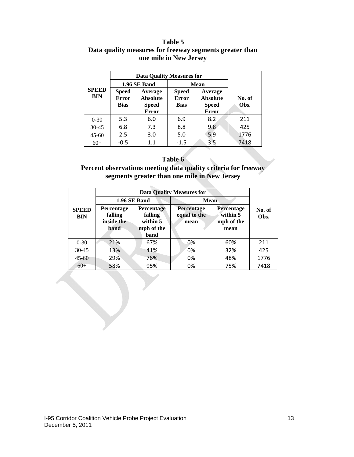#### **Table 5 Data quality measures for freeway segments greater than one mile in New Jersey**

|                            |                                             | <b>Data Quality Measures for</b>                           |                                             |                                                            |                |
|----------------------------|---------------------------------------------|------------------------------------------------------------|---------------------------------------------|------------------------------------------------------------|----------------|
|                            |                                             | 1.96 SE Band                                               | <b>Mean</b>                                 |                                                            |                |
| <b>SPEED</b><br><b>BIN</b> | <b>Speed</b><br><b>Error</b><br><b>Bias</b> | Average<br><b>Absolute</b><br><b>Speed</b><br><b>Error</b> | <b>Speed</b><br><b>Error</b><br><b>Bias</b> | Average<br><b>Absolute</b><br><b>Speed</b><br><b>Error</b> | No. of<br>Obs. |
| $0 - 30$                   | 5.3                                         | 6.0                                                        | 6.9                                         | 8.2                                                        | 211            |
| $30 - 45$                  | 6.8                                         | 7.3                                                        | 8.8                                         | 9.8                                                        | 425            |
| $45 - 60$                  | 2.5<br>3.0                                  |                                                            | 5.9<br>5.0                                  |                                                            | 1776           |
| $60+$                      | $-0.5$                                      | 1.1                                                        | $-1.5$                                      | 3.5                                                        | 7418           |

#### **Table 6**

**Percent observations meeting data quality criteria for freeway segments greater than one mile in New Jersey** 

|                                                                                                                                             |            |                                           | <b>Data Quality Measures for</b>                    |                |      |
|---------------------------------------------------------------------------------------------------------------------------------------------|------------|-------------------------------------------|-----------------------------------------------------|----------------|------|
|                                                                                                                                             |            | 1.96 SE Band                              | <b>Mean</b>                                         |                |      |
| Percentage<br><b>Percentage</b><br><b>SPEED</b><br>falling<br>falling<br><b>BIN</b><br>inside the<br>within 5<br>mph of the<br>band<br>band |            | <b>Percentage</b><br>equal to the<br>mean | <b>Percentage</b><br>within 5<br>mph of the<br>mean | No. of<br>Obs. |      |
| $0 - 30$                                                                                                                                    | 21%        | 67%                                       | 0%                                                  | 60%            | 211  |
| $30 - 45$                                                                                                                                   | 13%        | 41%                                       | 0%                                                  | 32%            | 425  |
| $45 - 60$                                                                                                                                   | 29%<br>76% |                                           | 0%                                                  | 48%            | 1776 |
| $60+$                                                                                                                                       | 58%        | 95%                                       | 0%                                                  | 75%            | 7418 |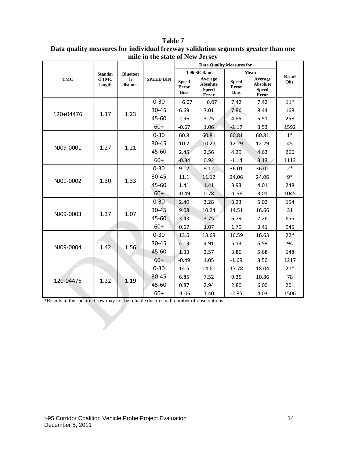|            |                 |                 |                  |                                             | <b>Data Quality Measures for</b>                    |                                             |                                                            |                |
|------------|-----------------|-----------------|------------------|---------------------------------------------|-----------------------------------------------------|---------------------------------------------|------------------------------------------------------------|----------------|
|            | <b>Standar</b>  | <b>Bluetoot</b> |                  |                                             | 1.96 SE Band                                        |                                             | Mean                                                       |                |
| <b>TMC</b> | d TMC<br>length | h<br>distance   | <b>SPEED BIN</b> | <b>Speed</b><br><b>Error</b><br><b>Bias</b> | Average<br><b>Absolute</b><br><b>Speed</b><br>Error | <b>Speed</b><br><b>Error</b><br><b>Bias</b> | Average<br><b>Absolute</b><br><b>Speed</b><br><b>Error</b> | No. of<br>Obs. |
|            |                 |                 | $0 - 30$         | 6.07                                        | 6.07                                                | 7.42                                        | 7.42                                                       | $11*$          |
|            |                 |                 | 30-45            | 6.69                                        | 7.01                                                | 7.86                                        | 8.44                                                       | 168            |
| 120+04476  | 1.17            | 1.23            | 45-60            | 2.96                                        | 3.25                                                | 4.85                                        | 5.51                                                       | 258            |
|            |                 |                 | $60+$            | $-0.67$                                     | 1.06                                                | $-2.17$                                     | 3.53                                                       | 1592           |
|            |                 |                 | $0 - 30$         | 60.8                                        | 60.81                                               | 60.81                                       | 60.81                                                      | $1*$           |
| NJ09-0001  | 1.27            | 1.21            | 30-45            | 10.2                                        | 10.27                                               | 12.29                                       | 12.29                                                      | 45             |
|            |                 |                 | 45-60            | 2.45                                        | 2.56                                                | 4.29                                        | 4.63                                                       | 266            |
|            |                 |                 | $60+$            | $-0.34$                                     | 0.92                                                | $-1.14$                                     | 3.13                                                       | 1113           |
|            |                 |                 | $0 - 30$         | 9.12                                        | 9.12                                                | 36.01                                       | 36.01                                                      | $2*$           |
| NJ09-0002  | 1.30            | 1.33            | 30-45            | 11.1                                        | 11.12                                               | 24.06                                       | 24.06                                                      | $9*$           |
|            |                 |                 | 45-60            | 1.41                                        | 1.41                                                | 3.93                                        | 4.01                                                       | 248            |
|            |                 |                 | $60+$            | $-0.49$                                     | 0.78                                                | $-1.56$                                     | 3.01                                                       | 1045           |
|            |                 |                 | $0 - 30$         | 2.40                                        | 3.28                                                | 3.23                                        | 5.02                                                       | 154            |
| NJ09-0003  | 1.37            | 1.07            | $30 - 45$        | 9.08                                        | 10.24                                               | 14.51                                       | 16.66                                                      | 31             |
|            |                 |                 | 45-60            | 3.43                                        | 3.75                                                | 6.79                                        | 7.26                                                       | 655            |
|            |                 |                 | $60+$            | 0.67                                        | 1.07                                                | 1.79                                        | 3.41                                                       | 945            |
|            |                 |                 | $0 - 30$         | 13.6                                        | 13.69                                               | 16.59                                       | 16.63                                                      | $22*$          |
| NJ09-0004  | 1.42            | 1.56            | 30-45            | 4.13                                        | 4.91                                                | 5.13                                        | 6.59                                                       | 94             |
|            |                 |                 | 45-60            | 1.33                                        | 2.57                                                | 3.86                                        | 5.68                                                       | 148            |
|            |                 |                 | $60+$            | $-0.49$                                     | 1.05                                                | $-1.69$                                     | 3.50                                                       | 1217           |
|            |                 |                 | $0 - 30$         | 14.5                                        | 14.61                                               | 17.78                                       | 18.04                                                      | $21*$          |
| 120-04475  | 1.22            | 1.19            | 30-45            | 6.85                                        | 7.52                                                | 9.35                                        | 10.86                                                      | 78             |
|            |                 |                 | 45-60            | 0.87                                        | 2.94                                                | 2.80                                        | 6.00                                                       | 201            |
|            |                 |                 | $60+$            | $-1.06$                                     | 1.40                                                | $-2.85$                                     | 4.03                                                       | 1506           |

**Table 7 Data quality measures for individual freeway validation segments greater than one mile in the state of New Jersey** 

\*Results in the specified row may not be reliable due to small number of observations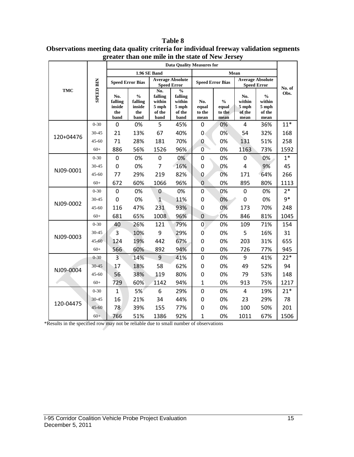|            | <b>SPEED BIN</b> | <b>Data Quality Measures for</b>        |                                                                        |                                                       |                                                                 |                                |                                          |                                               |                                                    |                |
|------------|------------------|-----------------------------------------|------------------------------------------------------------------------|-------------------------------------------------------|-----------------------------------------------------------------|--------------------------------|------------------------------------------|-----------------------------------------------|----------------------------------------------------|----------------|
| <b>TMC</b> |                  | 1.96 SE Band                            |                                                                        |                                                       |                                                                 | Mean                           |                                          |                                               |                                                    |                |
|            |                  | <b>Speed Error Bias</b>                 |                                                                        | <b>Average Absolute</b><br><b>Speed Error</b>         |                                                                 | <b>Speed Error Bias</b>        |                                          | <b>Average Absolute</b><br><b>Speed Error</b> |                                                    |                |
|            |                  | No.<br>falling<br>inside<br>the<br>band | $\mathbf{0}_{\mathbf{0}}^{\prime}$<br>falling<br>inside<br>the<br>band | No.<br>falling<br>within<br>$5$ mph<br>of the<br>band | $\frac{0}{0}$<br>falling<br>within<br>$5$ mph<br>of the<br>band | No.<br>equal<br>to the<br>mean | $\frac{0}{0}$<br>equal<br>to the<br>mean | No.<br>within<br>5 mph<br>of the<br>mean      | $\frac{0}{0}$<br>within<br>5 mph<br>of the<br>mean | No. of<br>Obs. |
| 120+04476  | $0 - 30$         | $\mathbf 0$                             | 0%                                                                     | 5                                                     | 45%                                                             | 0                              | 0%                                       | $\overline{4}$                                | 36%                                                | $11*$          |
|            | $30 - 45$        | 21                                      | 13%                                                                    | 67                                                    | 40%                                                             | $\mathbf{0}$                   | 0%                                       | 54                                            | 32%                                                | 168            |
|            | $45 - 60$        | 71                                      | 28%                                                                    | 181                                                   | 70%                                                             | 0                              | 0%                                       | 131                                           | 51%                                                | 258            |
|            | $60+$            | 886                                     | 56%                                                                    | 1526                                                  | 96%                                                             | $\overline{0}$                 | 0%                                       | 1163                                          | 73%                                                | 1592           |
| NJ09-0001  | $0 - 30$         | $\boldsymbol{0}$                        | 0%                                                                     | 0                                                     | 0%                                                              | 0                              | 0%                                       | 0                                             | 0%                                                 | $1*$           |
|            | 30-45            | $\mathbf 0$                             | 0%                                                                     | $\overline{7}$                                        | 16%                                                             | 0                              | 0%                                       | 4                                             | 9%                                                 | 45             |
|            | $45 - 60$        | 77                                      | 29%                                                                    | 219                                                   | 82%                                                             | 0                              | 0%                                       | 171                                           | 64%                                                | 266            |
|            | $60+$            | 672                                     | 60%                                                                    | 1066                                                  | 96%                                                             | $\mathbf 0$                    | 0%                                       | 895                                           | 80%                                                | 1113           |
| NJ09-0002  | $0 - 30$         | $\boldsymbol{0}$                        | 0%                                                                     | $\mathbf{0}$                                          | 0%                                                              | 0                              | 0%                                       | $\mathbf 0$                                   | 0%                                                 | $2*$           |
|            | 30-45            | $\mathbf 0$                             | 0%                                                                     | $\mathbf{1}$                                          | 11%                                                             | 0                              | 0%                                       | $\mathbf 0$                                   | 0%                                                 | $9*$           |
|            | $45 - 60$        | 116                                     | 47%                                                                    | 231                                                   | 93%                                                             | $\mathbf 0$                    | 0%                                       | 173                                           | 70%                                                | 248            |
|            | $60+$            | 681                                     | 65%                                                                    | 1008                                                  | 96%                                                             | $\mathbf 0$                    | 0%                                       | 846                                           | 81%                                                | 1045           |
| NJ09-0003  | $0 - 30$         | 40                                      | 26%                                                                    | 121                                                   | 79%                                                             | $\overline{0}$                 | 0%                                       | 109                                           | 71%                                                | 154            |
|            | 30-45            | 3                                       | 10%                                                                    | 9                                                     | 29%                                                             | 0                              | 0%                                       | 5                                             | 16%                                                | 31             |
|            | 45-60            | 124                                     | 19%                                                                    | 442                                                   | 67%                                                             | 0                              | 0%                                       | 203                                           | 31%                                                | 655            |
|            | $60+$            | 566                                     | 60%                                                                    | 892                                                   | 94%                                                             | 0                              | 0%                                       | 726                                           | 77%                                                | 945            |
| NJ09-0004  | $0 - 30$         | $\overline{3}$                          | 14%                                                                    | 9                                                     | 41%                                                             | 0                              | 0%                                       | 9                                             | 41%                                                | $22*$          |
|            | 30-45            | 17                                      | 18%                                                                    | 58                                                    | 62%                                                             | 0                              | 0%                                       | 49                                            | 52%                                                | 94             |
|            | $45 - 60$        | 56                                      | 38%                                                                    | 119                                                   | 80%                                                             | 0                              | 0%                                       | 79                                            | 53%                                                | 148            |
|            | $60+$            | 729                                     | 60%                                                                    | 1142                                                  | 94%                                                             | $\mathbf{1}$                   | 0%                                       | 913                                           | 75%                                                | 1217           |
| 120-04475  | $0 - 30$         | $\mathbf{1}$                            | 5%                                                                     | 6                                                     | 29%                                                             | 0                              | 0%                                       | $\overline{4}$                                | 19%                                                | $21*$          |
|            | 30-45            | 16                                      | 21%                                                                    | 34                                                    | 44%                                                             | 0                              | 0%                                       | 23                                            | 29%                                                | 78             |
|            | $45 - 60$        | 78                                      | 39%                                                                    | 155                                                   | 77%                                                             | 0                              | 0%                                       | 100                                           | 50%                                                | 201            |
|            | $60+$            | 766                                     | 51%                                                                    | 1386                                                  | 92%                                                             | $\mathbf{1}$                   | 0%                                       | 1011                                          | 67%                                                | 1506           |

**Table 8 Observations meeting data quality criteria for individual freeway validation segments greater than one mile in the state of New Jersey** 

\*Results in the specified row may not be reliable due to small number of observations